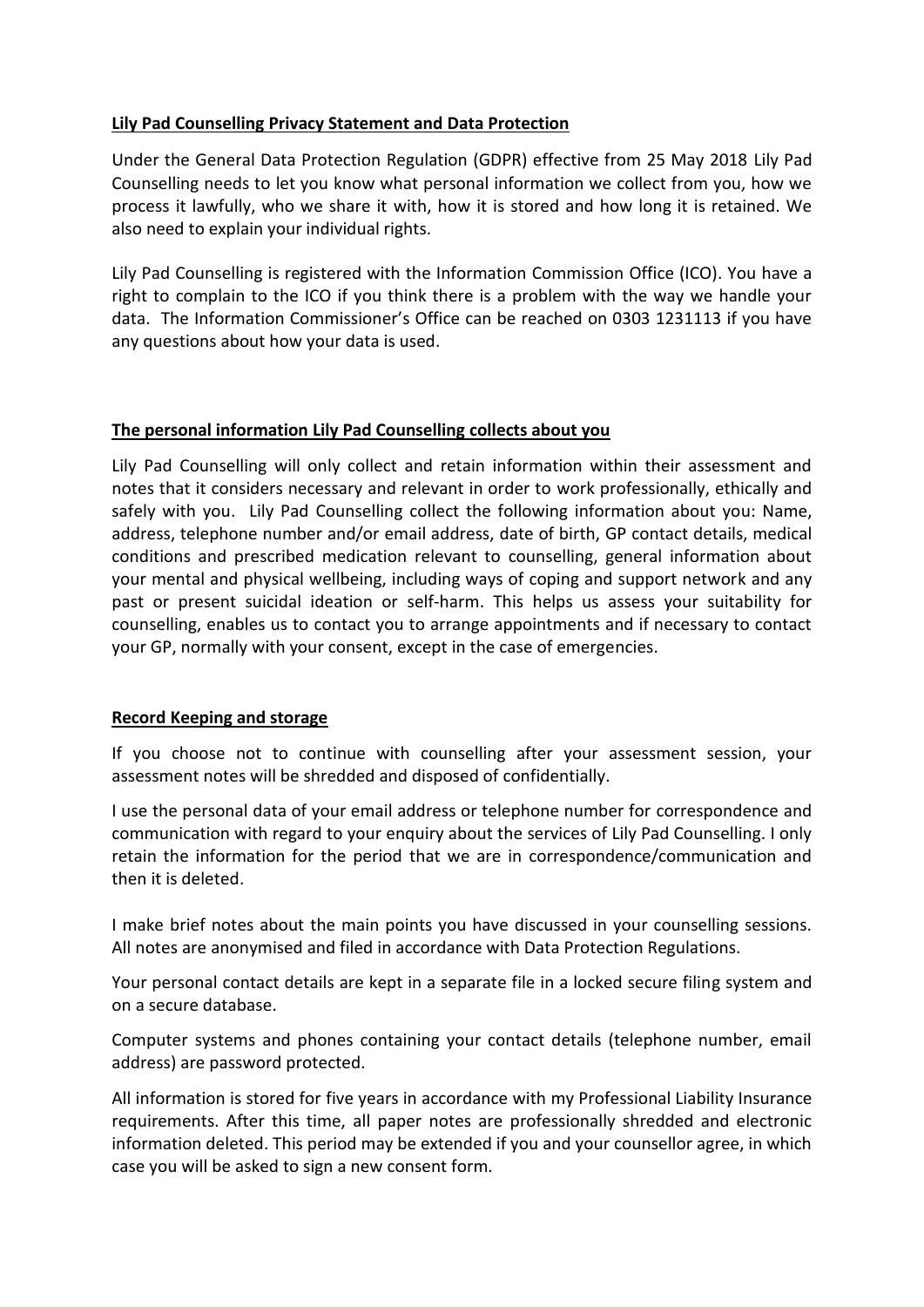## **Lily Pad Counselling Privacy Statement and Data Protection**

Under the General Data Protection Regulation (GDPR) effective from 25 May 2018 Lily Pad Counselling needs to let you know what personal information we collect from you, how we process it lawfully, who we share it with, how it is stored and how long it is retained. We also need to explain your individual rights.

Lily Pad Counselling is registered with the Information Commission Office (ICO). You have a right to complain to the ICO if you think there is a problem with the way we handle your data. The Information Commissioner's Office can be reached on 0303 1231113 if you have any questions about how your data is used.

### **The personal information Lily Pad Counselling collects about you**

Lily Pad Counselling will only collect and retain information within their assessment and notes that it considers necessary and relevant in order to work professionally, ethically and safely with you. Lily Pad Counselling collect the following information about you: Name, address, telephone number and/or email address, date of birth, GP contact details, medical conditions and prescribed medication relevant to counselling, general information about your mental and physical wellbeing, including ways of coping and support network and any past or present suicidal ideation or self-harm. This helps us assess your suitability for counselling, enables us to contact you to arrange appointments and if necessary to contact your GP, normally with your consent, except in the case of emergencies.

### **Record Keeping and storage**

If you choose not to continue with counselling after your assessment session, your assessment notes will be shredded and disposed of confidentially.

I use the personal data of your email address or telephone number for correspondence and communication with regard to your enquiry about the services of Lily Pad Counselling. I only retain the information for the period that we are in correspondence/communication and then it is deleted.

I make brief notes about the main points you have discussed in your counselling sessions. All notes are anonymised and filed in accordance with Data Protection Regulations.

Your personal contact details are kept in a separate file in a locked secure filing system and on a secure database.

Computer systems and phones containing your contact details (telephone number, email address) are password protected.

All information is stored for five years in accordance with my Professional Liability Insurance requirements. After this time, all paper notes are professionally shredded and electronic information deleted. This period may be extended if you and your counsellor agree, in which case you will be asked to sign a new consent form.